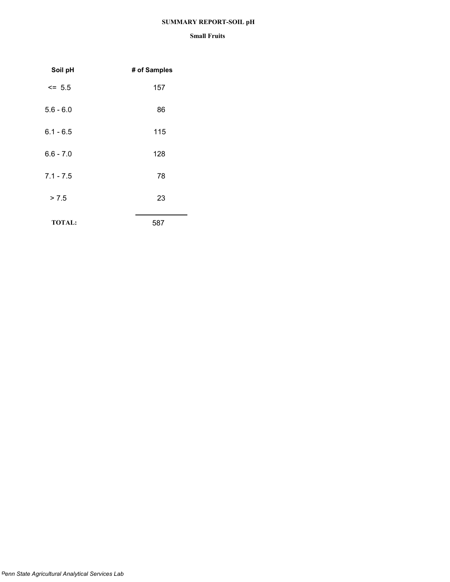## **SUMMARY REPORT-SOIL pH**

| Soil pH       | # of Samples |
|---------------|--------------|
| $\le$ 5.5     | 157          |
| $5.6 - 6.0$   | 86           |
| $6.1 - 6.5$   | 115          |
| $6.6 - 7.0$   | 128          |
| $7.1 - 7.5$   | 78           |
| > 7.5         | 23           |
| <b>TOTAL:</b> | 587          |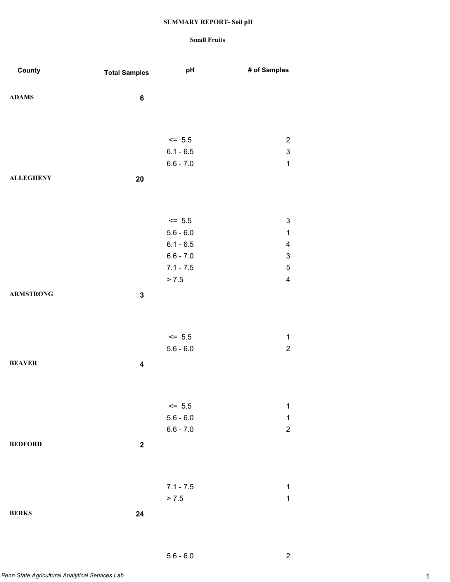### **Small Fruits**

| County           | <b>Total Samples</b>    | pH          | # of Samples              |
|------------------|-------------------------|-------------|---------------------------|
|                  |                         |             |                           |
| <b>ADAMS</b>     | $\bf 6$                 |             |                           |
|                  |                         |             |                           |
|                  |                         |             |                           |
|                  |                         | $<= 5.5$    | $\overline{c}$            |
|                  |                         | $6.1 - 6.5$ | $\mathsf 3$               |
|                  |                         | $6.6 - 7.0$ | $\mathbf{1}$              |
| <b>ALLEGHENY</b> | 20                      |             |                           |
|                  |                         |             |                           |
|                  |                         |             |                           |
|                  |                         | $\le$ 5.5   | $\ensuremath{\mathsf{3}}$ |
|                  |                         | $5.6 - 6.0$ | $\mathbf 1$               |
|                  |                         | $6.1 - 6.5$ | $\overline{\mathbf{4}}$   |
|                  |                         | $6.6 - 7.0$ | $\ensuremath{\mathsf{3}}$ |
|                  |                         | $7.1 - 7.5$ | $\mathbf 5$               |
|                  |                         | > 7.5       | $\overline{\mathbf{4}}$   |
| <b>ARMSTRONG</b> | $\mathbf 3$             |             |                           |
|                  |                         |             |                           |
|                  |                         |             |                           |
|                  |                         | $\le$ 5.5   | $\mathbf 1$               |
|                  |                         | $5.6 - 6.0$ | $\overline{c}$            |
| <b>BEAVER</b>    | $\overline{\mathbf{4}}$ |             |                           |
|                  |                         |             |                           |
|                  |                         |             |                           |
|                  |                         | $<= 5.5$    | $\mathbf 1$               |
|                  |                         | $5.6 - 6.0$ | $\mathbf 1$               |
|                  |                         | $6.6 - 7.0$ | $\overline{c}$            |
| <b>BEDFORD</b>   | $\boldsymbol{2}$        |             |                           |
|                  |                         |             |                           |
|                  |                         |             |                           |
|                  |                         | $7.1 - 7.5$ | 1                         |
|                  |                         | > 7.5       | $\mathbf 1$               |
| <b>BERKS</b>     | 24                      |             |                           |
|                  |                         |             |                           |

5.6 - 6.0 2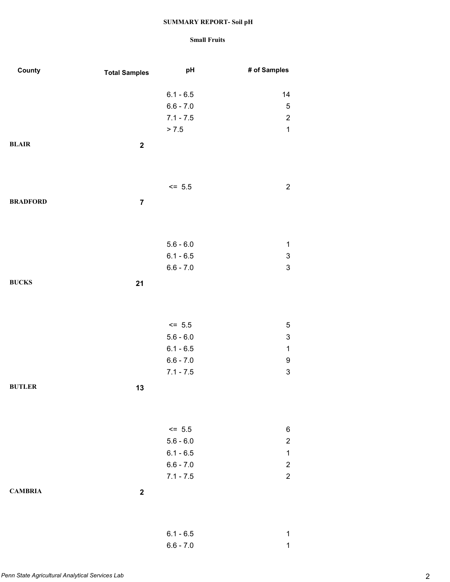| County          | <b>Total Samples</b>    | pH          | # of Samples              |
|-----------------|-------------------------|-------------|---------------------------|
|                 |                         | $6.1 - 6.5$ | 14                        |
|                 |                         | $6.6 - 7.0$ | $\sqrt{5}$                |
|                 |                         | $7.1 - 7.5$ | $\overline{c}$            |
|                 |                         | > 7.5       | $\mathbf 1$               |
| <b>BLAIR</b>    | $\mathbf 2$             |             |                           |
|                 |                         | $<= 5.5$    | $\boldsymbol{2}$          |
| <b>BRADFORD</b> | $\overline{\mathbf{7}}$ |             |                           |
|                 |                         |             |                           |
|                 |                         | $5.6 - 6.0$ | $\mathbf 1$               |
|                 |                         | $6.1 - 6.5$ | $\ensuremath{\mathsf{3}}$ |
|                 |                         | $6.6 - 7.0$ | $\mathsf 3$               |
| <b>BUCKS</b>    | 21                      |             |                           |
|                 |                         |             |                           |
|                 |                         | $<= 5.5$    | $\mathbf 5$               |
|                 |                         | $5.6 - 6.0$ | $\ensuremath{\mathsf{3}}$ |
|                 |                         | $6.1 - 6.5$ | $\mathbf 1$               |
|                 |                         | $6.6 - 7.0$ | $\boldsymbol{9}$          |
|                 |                         | $7.1 - 7.5$ | $\mathsf 3$               |
| <b>BUTLER</b>   | 13                      |             |                           |
|                 |                         |             |                           |
|                 |                         | $\le$ 5.5   | 6                         |
|                 |                         | $5.6 - 6.0$ | $\boldsymbol{2}$          |
|                 |                         | $6.1 - 6.5$ | $\mathbf 1$               |
|                 |                         | $6.6 - 7.0$ | $\overline{2}$            |
|                 |                         | $7.1 - 7.5$ | $\boldsymbol{2}$          |
| <b>CAMBRIA</b>  | $\boldsymbol{2}$        |             |                           |
|                 |                         | $6.1 - 6.5$ | 1                         |
|                 |                         | $6.6 - 7.0$ | $\mathbf 1$               |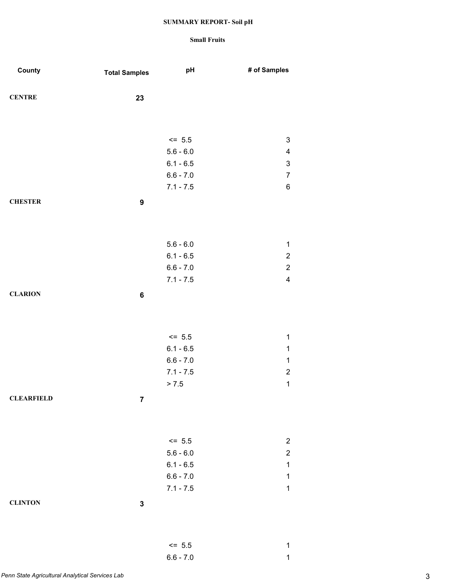| County            | <b>Total Samples</b> | pH          | # of Samples            |
|-------------------|----------------------|-------------|-------------------------|
|                   |                      |             |                         |
| <b>CENTRE</b>     | 23                   |             |                         |
|                   |                      |             |                         |
|                   |                      |             |                         |
|                   |                      | $\le$ 5.5   | $\sqrt{3}$              |
|                   |                      | $5.6 - 6.0$ | 4                       |
|                   |                      | $6.1 - 6.5$ | 3                       |
|                   |                      | $6.6 - 7.0$ | $\overline{7}$          |
|                   |                      | $7.1 - 7.5$ | $\,6\,$                 |
| <b>CHESTER</b>    | $\boldsymbol{9}$     |             |                         |
|                   |                      |             |                         |
|                   |                      |             |                         |
|                   |                      | $5.6 - 6.0$ | $\mathbf{1}$            |
|                   |                      | $6.1 - 6.5$ | $\overline{c}$          |
|                   |                      | $6.6 - 7.0$ | $\overline{c}$          |
|                   |                      | $7.1 - 7.5$ | $\overline{\mathbf{4}}$ |
| <b>CLARION</b>    |                      |             |                         |
|                   | $\bf 6$              |             |                         |
|                   |                      |             |                         |
|                   |                      |             |                         |
|                   |                      | $<= 5.5$    | $\mathbf{1}$            |
|                   |                      | $6.1 - 6.5$ | $\mathbf{1}$            |
|                   |                      | $6.6 - 7.0$ | $\mathbf 1$             |
|                   |                      | $7.1 - 7.5$ | $\overline{c}$          |
|                   |                      | > 7.5       | $\mathbf{1}$            |
| <b>CLEARFIELD</b> | $\overline{7}$       |             |                         |
|                   |                      |             |                         |
|                   |                      |             |                         |
|                   |                      | $<= 5.5$    | $\overline{c}$          |
|                   |                      | $5.6 - 6.0$ | $\overline{c}$          |
|                   |                      | $6.1 - 6.5$ | $\mathbf 1$             |
|                   |                      | $6.6 - 7.0$ | $\mathbf 1$             |
|                   |                      | $7.1 - 7.5$ | $\mathbf 1$             |
| <b>CLINTON</b>    | $\mathbf 3$          |             |                         |
|                   |                      |             |                         |
|                   |                      |             |                         |
|                   |                      | $<= 5.5$    | $\mathbf 1$             |
|                   |                      | $6.6 - 7.0$ | $\mathbf 1$             |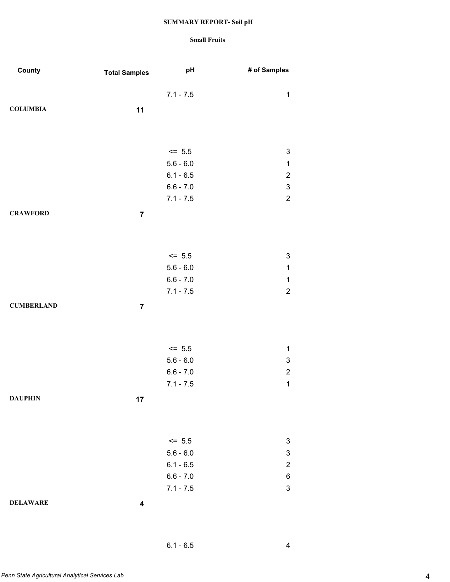| County            | <b>Total Samples</b> | pH          | # of Samples              |
|-------------------|----------------------|-------------|---------------------------|
|                   |                      | $7.1 - 7.5$ | $\mathbf 1$               |
|                   |                      |             |                           |
| <b>COLUMBIA</b>   | 11                   |             |                           |
|                   |                      |             |                           |
|                   |                      |             |                           |
|                   |                      | $<= 5.5$    | 3                         |
|                   |                      | $5.6 - 6.0$ | $\mathbf{1}$              |
|                   |                      | $6.1 - 6.5$ | $\overline{\mathbf{c}}$   |
|                   |                      | $6.6 - 7.0$ | $\ensuremath{\mathsf{3}}$ |
|                   |                      | $7.1 - 7.5$ | $\sqrt{2}$                |
| <b>CRAWFORD</b>   | $\overline{7}$       |             |                           |
|                   |                      |             |                           |
|                   |                      |             |                           |
|                   |                      |             |                           |
|                   |                      | $\le$ 5.5   | $\ensuremath{\mathsf{3}}$ |
|                   |                      | $5.6 - 6.0$ | $\mathbf 1$               |
|                   |                      | $6.6 - 7.0$ | $\mathbf{1}$              |
|                   |                      | $7.1 - 7.5$ | $\sqrt{2}$                |
| <b>CUMBERLAND</b> | $\overline{7}$       |             |                           |
|                   |                      |             |                           |
|                   |                      |             |                           |
|                   |                      | $<= 5.5$    | $\mathbf{1}$              |
|                   |                      | $5.6 - 6.0$ | $\ensuremath{\mathsf{3}}$ |
|                   |                      | $6.6 - 7.0$ | $\overline{c}$            |
|                   |                      | $7.1 - 7.5$ | $\mathbf{1}$              |
| <b>DAUPHIN</b>    |                      |             |                           |
|                   | 17                   |             |                           |
|                   |                      |             |                           |
|                   |                      |             |                           |
|                   |                      | $\le$ 5.5   | $\ensuremath{\mathsf{3}}$ |
|                   |                      | $5.6 - 6.0$ | $\ensuremath{\mathsf{3}}$ |
|                   |                      | $6.1 - 6.5$ | $\overline{c}$            |
|                   |                      | $6.6 - 7.0$ | 6                         |
|                   |                      | $7.1 - 7.5$ | $\ensuremath{\mathsf{3}}$ |
| <b>DELAWARE</b>   | 4                    |             |                           |
|                   |                      |             |                           |
|                   |                      |             |                           |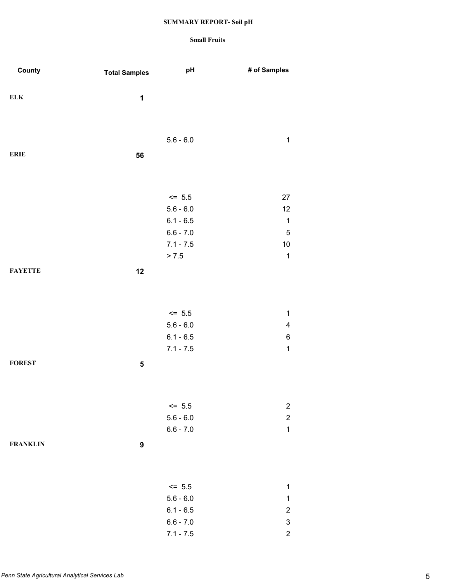| County          | <b>Total Samples</b> | pH                         | # of Samples                                |
|-----------------|----------------------|----------------------------|---------------------------------------------|
|                 |                      |                            |                                             |
| ${\bf ELK}$     | 1                    |                            |                                             |
|                 |                      |                            |                                             |
|                 |                      |                            |                                             |
|                 |                      | $5.6 - 6.0$                | $\mathbf 1$                                 |
| <b>ERIE</b>     | 56                   |                            |                                             |
|                 |                      |                            |                                             |
|                 |                      |                            |                                             |
|                 |                      |                            |                                             |
|                 |                      | $<= 5.5$<br>$5.6 - 6.0$    | 27<br>12                                    |
|                 |                      | $6.1 - 6.5$                | $\mathbf 1$                                 |
|                 |                      | $6.6 - 7.0$                | $\mathbf 5$                                 |
|                 |                      | $7.1 - 7.5$                | $10$                                        |
|                 |                      | > 7.5                      | $\mathbf 1$                                 |
| <b>FAYETTE</b>  | 12                   |                            |                                             |
|                 |                      |                            |                                             |
|                 |                      |                            |                                             |
|                 |                      | $\le$ 5.5                  | $\mathbf 1$                                 |
|                 |                      | $5.6 - 6.0$                | $\overline{\mathbf{4}}$                     |
|                 |                      | $6.1 - 6.5$                | 6                                           |
|                 |                      | $7.1 - 7.5$                | $\mathbf 1$                                 |
| <b>FOREST</b>   | ${\bf 5}$            |                            |                                             |
|                 |                      |                            |                                             |
|                 |                      |                            |                                             |
|                 |                      |                            |                                             |
|                 |                      | $\le$ 5.5<br>$5.6 - 6.0$   | $\boldsymbol{2}$<br>$\overline{c}$          |
|                 |                      | $6.6 - 7.0$                | $\mathbf 1$                                 |
| <b>FRANKLIN</b> |                      |                            |                                             |
|                 | $\pmb{9}$            |                            |                                             |
|                 |                      |                            |                                             |
|                 |                      |                            |                                             |
|                 |                      | $\le$ 5.5                  | $\mathbf 1$                                 |
|                 |                      | $5.6 - 6.0$                | $\mathbf 1$                                 |
|                 |                      | $6.1 - 6.5$<br>$6.6 - 7.0$ | $\overline{c}$<br>$\ensuremath{\mathsf{3}}$ |
|                 |                      | $7.1 - 7.5$                | $\overline{c}$                              |
|                 |                      |                            |                                             |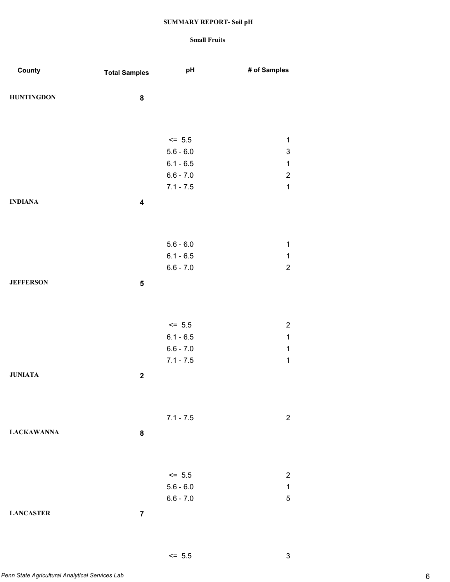### **Small Fruits**

| County            | <b>Total Samples</b>    | pH                         | # of Samples              |
|-------------------|-------------------------|----------------------------|---------------------------|
|                   |                         |                            |                           |
| <b>HUNTINGDON</b> | 8                       |                            |                           |
|                   |                         |                            |                           |
|                   |                         |                            |                           |
|                   |                         | $<= 5.5$                   | $\mathbf 1$               |
|                   |                         | $5.6 - 6.0$                | $\ensuremath{\mathsf{3}}$ |
|                   |                         | $6.1 - 6.5$                | $\mathbf{1}$              |
|                   |                         | $6.6 - 7.0$                | $\boldsymbol{2}$          |
|                   |                         | $7.1 - 7.5$                | $\mathbf{1}$              |
| <b>INDIANA</b>    | $\overline{\mathbf{4}}$ |                            |                           |
|                   |                         |                            |                           |
|                   |                         |                            |                           |
|                   |                         | $5.6 - 6.0$                | $\mathbf{1}$              |
|                   |                         | $6.1 - 6.5$                | $\mathbf 1$               |
|                   |                         | $6.6 - 7.0$                | $\boldsymbol{2}$          |
| <b>JEFFERSON</b>  | ${\bf 5}$               |                            |                           |
|                   |                         |                            |                           |
|                   |                         |                            |                           |
|                   |                         |                            |                           |
|                   |                         | $\le$ 5.5                  | $\overline{c}$            |
|                   |                         | $6.1 - 6.5$                | $\mathbf{1}$              |
|                   |                         | $6.6 - 7.0$<br>$7.1 - 7.5$ | $\mathbf{1}$              |
|                   |                         |                            | $\mathbf 1$               |
| <b>JUNIATA</b>    | $\boldsymbol{2}$        |                            |                           |
|                   |                         |                            |                           |
|                   |                         |                            |                           |
|                   |                         | $7.1 - 7.5$                | $\overline{2}$            |
| <b>LACKAWANNA</b> | 8                       |                            |                           |
|                   |                         |                            |                           |
|                   |                         |                            |                           |
|                   |                         | $<= 5.5$                   | $\overline{2}$            |
|                   |                         | $5.6 - 6.0$                | $\mathbf 1$               |
|                   |                         | $6.6 - 7.0$                | $\mathbf 5$               |
|                   |                         |                            |                           |
| <b>LANCASTER</b>  | $\overline{\mathbf{7}}$ |                            |                           |

*Penn State Agricultural Analytical Services Lab* 6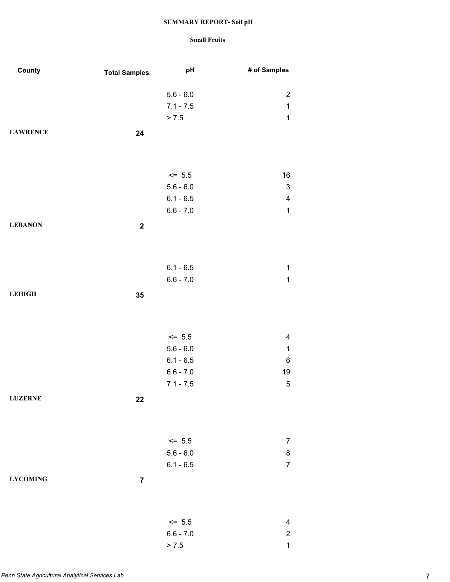| County          | <b>Total Samples</b> | pH                      | # of Samples              |
|-----------------|----------------------|-------------------------|---------------------------|
|                 |                      | $5.6 - 6.0$             | $\sqrt{2}$                |
|                 |                      | $7.1 - 7.5$             | $\mathbf{1}$              |
|                 |                      | > 7.5                   | $\mathbf 1$               |
| <b>LAWRENCE</b> | 24                   |                         |                           |
|                 |                      |                         |                           |
|                 |                      |                         |                           |
|                 |                      | $<= 5.5$                | $16\,$                    |
|                 |                      | $5.6 - 6.0$             | $\ensuremath{\mathsf{3}}$ |
|                 |                      | $6.1 - 6.5$             | $\overline{\mathcal{A}}$  |
|                 |                      | $6.6 - 7.0$             | $\mathbf{1}$              |
| <b>LEBANON</b>  | $\boldsymbol{2}$     |                         |                           |
|                 |                      |                         |                           |
|                 |                      |                         |                           |
|                 |                      | $6.1 - 6.5$             | $\mathbf 1$               |
|                 |                      | $6.6 - 7.0$             | $\mathbf 1$               |
| <b>LEHIGH</b>   | 35                   |                         |                           |
|                 |                      |                         |                           |
|                 |                      | $<= 5.5$                | $\overline{\mathbf{4}}$   |
|                 |                      | $5.6 - 6.0$             | $\mathbf{1}$              |
|                 |                      | $6.1 - 6.5$             | 6                         |
|                 |                      | $6.6 - 7.0$             | 19                        |
|                 |                      | $7.1 - 7.5$             | $\mathbf 5$               |
| <b>LUZERNE</b>  | 22                   |                         |                           |
|                 |                      |                         |                           |
|                 |                      |                         |                           |
|                 |                      | $<= 5.5$                | $\overline{7}$            |
|                 |                      | $5.6 - 6.0$             | 8                         |
|                 |                      | $6.1 - 6.5$             | $\overline{7}$            |
| <b>LYCOMING</b> | $\overline{7}$       |                         |                           |
|                 |                      |                         |                           |
|                 |                      |                         | $\overline{\mathbf{4}}$   |
|                 |                      | $<= 5.5$<br>$6.6 - 7.0$ | $\overline{c}$            |
|                 |                      | > 7.5                   | $\mathbf{1}$              |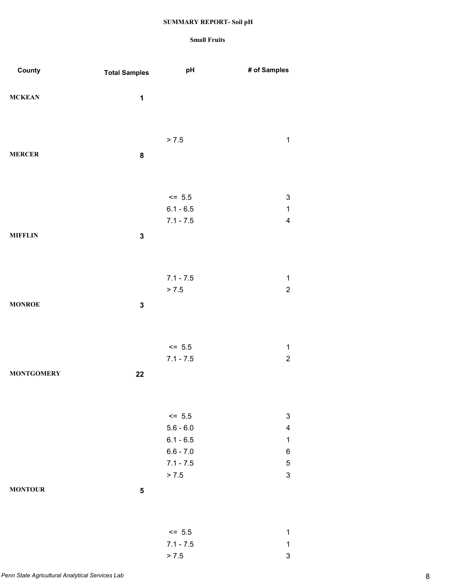| County            | <b>Total Samples</b> | pH          | # of Samples              |
|-------------------|----------------------|-------------|---------------------------|
|                   |                      |             |                           |
| <b>MCKEAN</b>     | $\mathbf{1}$         |             |                           |
|                   |                      |             |                           |
|                   |                      |             |                           |
|                   |                      |             |                           |
|                   |                      | > 7.5       | $\mathbf 1$               |
| <b>MERCER</b>     | ${\bf 8}$            |             |                           |
|                   |                      |             |                           |
|                   |                      |             |                           |
|                   |                      |             |                           |
|                   |                      | $\le$ 5.5   | $\mathbf{3}$              |
|                   |                      | $6.1 - 6.5$ | $\mathbf 1$               |
|                   |                      | $7.1 - 7.5$ | $\overline{\mathbf{4}}$   |
| <b>MIFFLIN</b>    | $\mathbf 3$          |             |                           |
|                   |                      |             |                           |
|                   |                      |             |                           |
|                   |                      |             |                           |
|                   |                      | $7.1 - 7.5$ | $\mathbf{1}$              |
|                   |                      | > 7.5       | $\overline{c}$            |
| <b>MONROE</b>     | $\mathbf 3$          |             |                           |
|                   |                      |             |                           |
|                   |                      |             |                           |
|                   |                      | $\le$ 5.5   | $\mathbf 1$               |
|                   |                      | $7.1 - 7.5$ | $\overline{c}$            |
|                   |                      |             |                           |
| <b>MONTGOMERY</b> | 22                   |             |                           |
|                   |                      |             |                           |
|                   |                      |             |                           |
|                   |                      | $\le$ 5.5   | $\ensuremath{\mathsf{3}}$ |
|                   |                      | $5.6 - 6.0$ | 4                         |
|                   |                      | $6.1 - 6.5$ | $\mathbf{1}$              |
|                   |                      | $6.6 - 7.0$ | 6                         |
|                   |                      | $7.1 - 7.5$ | $\mathbf 5$               |
|                   |                      | > 7.5       | $\mathfrak{S}$            |
|                   |                      |             |                           |
| <b>MONTOUR</b>    | 5                    |             |                           |
|                   |                      |             |                           |
|                   |                      |             |                           |
|                   |                      | $<= 5.5$    | $\mathbf 1$               |
|                   |                      | $7.1 - 7.5$ | $\mathbf 1$               |
|                   |                      | > 7.5       | $\mathsf 3$               |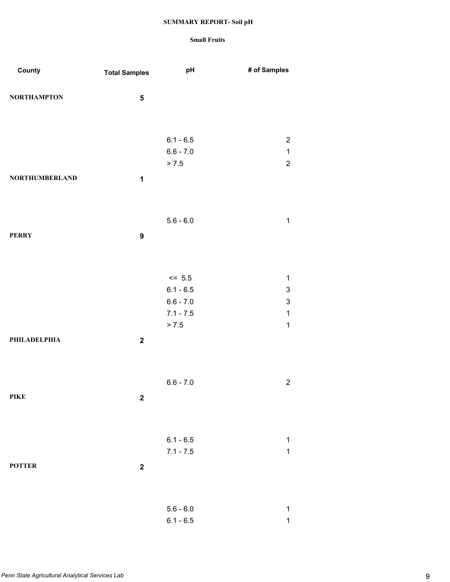| County                | <b>Total Samples</b> | pH                         | # of Samples                             |
|-----------------------|----------------------|----------------------------|------------------------------------------|
| <b>NORTHAMPTON</b>    | ${\bf 5}$            |                            |                                          |
|                       |                      |                            |                                          |
|                       |                      | $6.1 - 6.5$                | $\overline{c}$                           |
|                       |                      | $6.6 - 7.0$                | $\mathbf 1$                              |
|                       |                      | > 7.5                      | $\overline{c}$                           |
| <b>NORTHUMBERLAND</b> | $\mathbf 1$          |                            |                                          |
|                       |                      |                            |                                          |
|                       |                      | $5.6 - 6.0$                | $\mathbf 1$                              |
| <b>PERRY</b>          | $\boldsymbol{9}$     |                            |                                          |
|                       |                      |                            |                                          |
|                       |                      |                            |                                          |
|                       |                      | $\le$ 5.5                  | $\mathbf 1$                              |
|                       |                      | $6.1 - 6.5$<br>$6.6 - 7.0$ | $\ensuremath{\mathsf{3}}$<br>$\mathsf 3$ |
|                       |                      | $7.1 - 7.5$                | $\mathbf 1$                              |
|                       |                      | > 7.5                      | $\mathbf{1}$                             |
| PHILADELPHIA          | $\bf 2$              |                            |                                          |
|                       |                      |                            |                                          |
|                       |                      | $6.6 - 7.0$                | $\sqrt{2}$                               |
| <b>PIKE</b>           | $\boldsymbol{2}$     |                            |                                          |
|                       |                      |                            |                                          |
|                       |                      |                            |                                          |
|                       |                      | $6.1 - 6.5$                | $\mathbf 1$                              |
|                       |                      | $7.1 - 7.5$                | $\mathbf{1}$                             |
| <b>POTTER</b>         | $\boldsymbol{2}$     |                            |                                          |
|                       |                      |                            |                                          |
|                       |                      | $5.6 - 6.0$                | $\mathbf 1$                              |
|                       |                      | $6.1 - 6.5$                | $\mathbf 1$                              |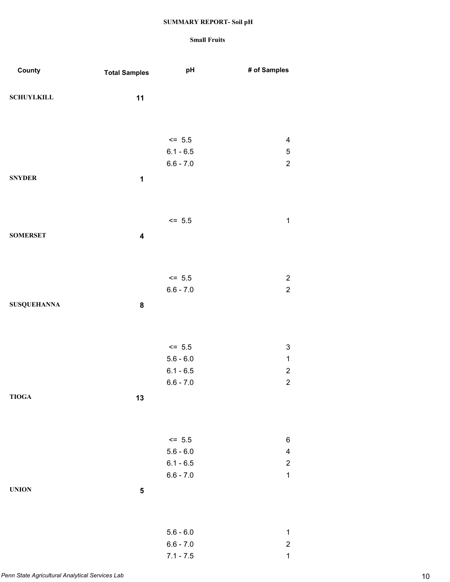| County             | <b>Total Samples</b>    | pH                         | # of Samples                    |
|--------------------|-------------------------|----------------------------|---------------------------------|
| <b>SCHUYLKILL</b>  | 11                      |                            |                                 |
|                    |                         |                            |                                 |
|                    |                         | $\le$ 5.5                  | $\overline{\mathbf{4}}$         |
|                    |                         | $6.1 - 6.5$                | $\,$ 5 $\,$                     |
|                    |                         | $6.6 - 7.0$                | $\overline{2}$                  |
| <b>SNYDER</b>      | $\mathbf 1$             |                            |                                 |
|                    |                         |                            |                                 |
|                    |                         | $<= 5.5$                   | $\mathbf 1$                     |
| <b>SOMERSET</b>    | $\overline{\mathbf{4}}$ |                            |                                 |
|                    |                         |                            |                                 |
|                    |                         | $\le$ 5.5                  | $\boldsymbol{2}$                |
|                    |                         | $6.6 - 7.0$                | $\overline{2}$                  |
| <b>SUSQUEHANNA</b> | ${\bf 8}$               |                            |                                 |
|                    |                         |                            |                                 |
|                    |                         | $\le$ 5.5                  | 3                               |
|                    |                         | $5.6 - 6.0$                | $\mathbf 1$                     |
|                    |                         | $6.1 - 6.5$                | $\boldsymbol{2}$                |
| <b>TIOGA</b>       |                         | $6.6 - 7.0$                | $\boldsymbol{2}$                |
|                    | 13                      |                            |                                 |
|                    |                         |                            |                                 |
|                    |                         | $<= 5.5$                   | 6                               |
|                    |                         | $5.6 - 6.0$<br>$6.1 - 6.5$ | $\overline{\mathbf{4}}$         |
|                    |                         | $6.6 - 7.0$                | $\boldsymbol{2}$<br>$\mathbf 1$ |
| <b>UNION</b>       | ${\bf 5}$               |                            |                                 |
|                    |                         |                            |                                 |
|                    |                         |                            |                                 |
|                    |                         | $5.6 - 6.0$<br>$6.6 - 7.0$ | $\mathbf 1$<br>$\boldsymbol{2}$ |
|                    |                         | $7.1 - 7.5$                | $\mathbf 1$                     |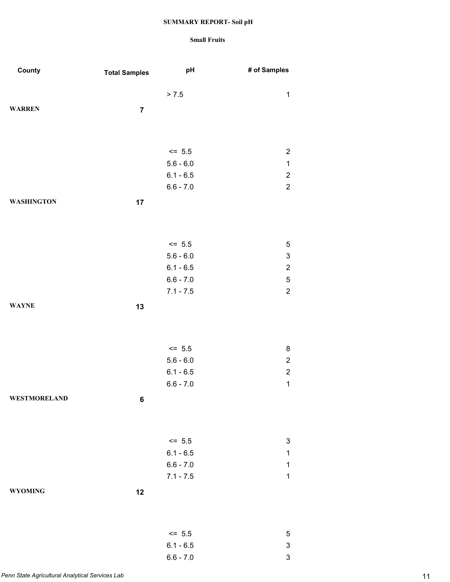| County              | <b>Total Samples</b> | pH                         | # of Samples              |
|---------------------|----------------------|----------------------------|---------------------------|
|                     |                      |                            |                           |
|                     |                      | > 7.5                      | $\mathbf{1}$              |
| <b>WARREN</b>       | $\overline{7}$       |                            |                           |
|                     |                      |                            |                           |
|                     |                      |                            |                           |
|                     |                      | $<= 5.5$                   | $\overline{c}$            |
|                     |                      | $5.6 - 6.0$                | $\mathbf{1}$              |
|                     |                      | $6.1 - 6.5$                | $\overline{c}$            |
|                     |                      | $6.6 - 7.0$                | $\overline{c}$            |
| <b>WASHINGTON</b>   | 17                   |                            |                           |
|                     |                      |                            |                           |
|                     |                      |                            |                           |
|                     |                      |                            |                           |
|                     |                      | $= 5.5$                    | 5                         |
|                     |                      | $5.6 - 6.0$                | $\ensuremath{\mathsf{3}}$ |
|                     |                      | $6.1 - 6.5$                | $\overline{c}$            |
|                     |                      | $6.6 - 7.0$                | 5                         |
|                     |                      | $7.1 - 7.5$                | $\overline{c}$            |
| <b>WAYNE</b>        | 13                   |                            |                           |
|                     |                      |                            |                           |
|                     |                      |                            |                           |
|                     |                      | $\le$ 5.5                  | 8                         |
|                     |                      | $5.6 - 6.0$                | $\overline{2}$            |
|                     |                      | $6.1 - 6.5$                | $\overline{c}$            |
|                     |                      | $6.6 - 7.0$                | $\mathbf{1}$              |
| <b>WESTMORELAND</b> | 6                    |                            |                           |
|                     |                      |                            |                           |
|                     |                      |                            |                           |
|                     |                      |                            |                           |
|                     |                      | $\le$ 5.5                  | 3                         |
|                     |                      | $6.1 - 6.5$                | 1                         |
|                     |                      | $6.6 - 7.0$<br>$7.1 - 7.5$ | 1<br>$\mathbf 1$          |
|                     |                      |                            |                           |
| <b>WYOMING</b>      | 12                   |                            |                           |
|                     |                      |                            |                           |
|                     |                      |                            |                           |
|                     |                      | $<= 5.5$                   | 5                         |
|                     |                      | $6.1 - 6.5$                | $\ensuremath{\mathsf{3}}$ |
|                     |                      | $6.6 - 7.0$                | 3                         |